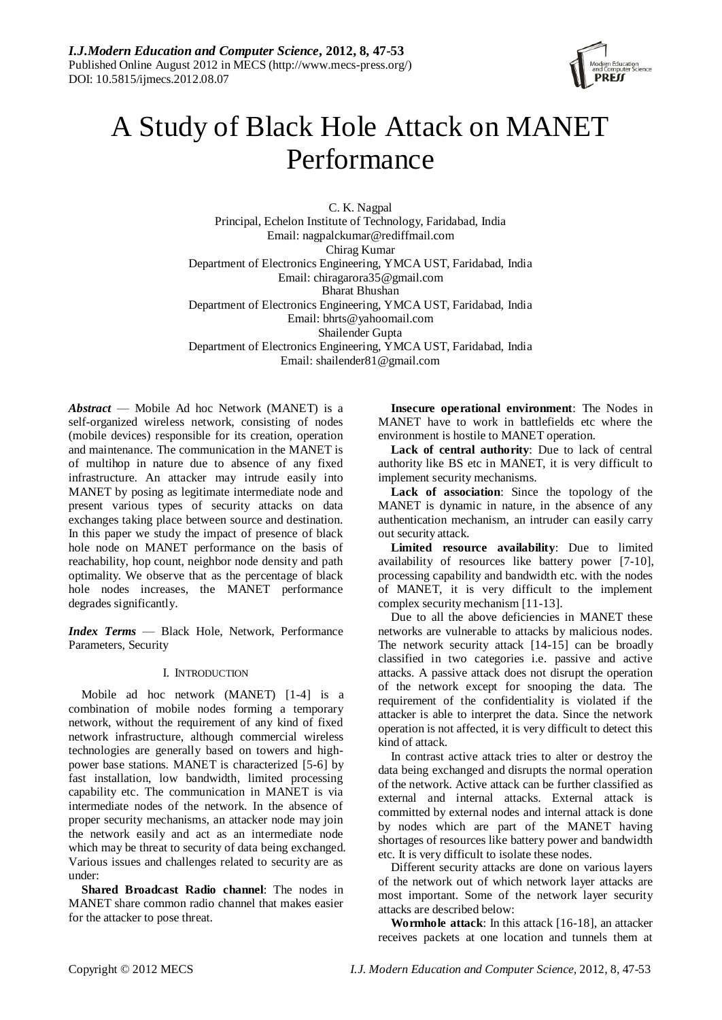

# A Study of Black Hole Attack on MANET Performance

C. K. Nagpal Principal, Echelon Institute of Technology, Faridabad, India Email: nagpalckumar@rediffmail.com Chirag Kumar Department of Electronics Engineering, YMCA UST, Faridabad, India Email: chiragarora35@gmail.com Bharat Bhushan Department of Electronics Engineering, YMCA UST, Faridabad, India Email: bhrts@yahoomail.com Shailender Gupta Department of Electronics Engineering, YMCA UST, Faridabad, India Email: shailender81@gmail.com

*Abstract* — Mobile Ad hoc Network (MANET) is a self-organized wireless network, consisting of nodes (mobile devices) responsible for its creation, operation and maintenance. The communication in the MANET is of multihop in nature due to absence of any fixed infrastructure. An attacker may intrude easily into MANET by posing as legitimate intermediate node and present various types of security attacks on data exchanges taking place between source and destination. In this paper we study the impact of presence of black hole node on MANET performance on the basis of reachability, hop count, neighbor node density and path optimality. We observe that as the percentage of black hole nodes increases, the MANET performance degrades significantly.

*Index Terms* — Black Hole, Network, Performance Parameters, Security

# I. INTRODUCTION

Mobile ad hoc network (MANET) [1-4] is a combination of mobile nodes forming a temporary network, without the requirement of any kind of fixed network infrastructure, although commercial wireless technologies are generally based on towers and highpower base stations. MANET is characterized [5-6] by fast installation, low bandwidth, limited processing capability etc. The communication in MANET is via intermediate nodes of the network. In the absence of proper security mechanisms, an attacker node may join the network easily and act as an intermediate node which may be threat to security of data being exchanged. Various issues and challenges related to security are as under:

**Shared Broadcast Radio channel**: The nodes in MANET share common radio channel that makes easier for the attacker to pose threat.

**Insecure operational environment**: The Nodes in MANET have to work in battlefields etc where the environment is hostile to MANET operation.

**Lack of central authority**: Due to lack of central authority like BS etc in MANET, it is very difficult to implement security mechanisms.

**Lack of association**: Since the topology of the MANET is dynamic in nature, in the absence of any authentication mechanism, an intruder can easily carry out security attack.

**Limited resource availability**: Due to limited availability of resources like battery power [7-10], processing capability and bandwidth etc. with the nodes of MANET, it is very difficult to the implement complex security mechanism [11-13].

Due to all the above deficiencies in MANET these networks are vulnerable to attacks by malicious nodes. The network security attack [14-15] can be broadly classified in two categories i.e. passive and active attacks. A passive attack does not disrupt the operation of the network except for snooping the data. The requirement of the confidentiality is violated if the attacker is able to interpret the data. Since the network operation is not affected, it is very difficult to detect this kind of attack.

In contrast active attack tries to alter or destroy the data being exchanged and disrupts the normal operation of the network. Active attack can be further classified as external and internal attacks. External attack is committed by external nodes and internal attack is done by nodes which are part of the MANET having shortages of resources like battery power and bandwidth etc. It is very difficult to isolate these nodes.

Different security attacks are done on various layers of the network out of which network layer attacks are most important. Some of the network layer security attacks are described below:

**Wormhole attack**: In this attack [16-18], an attacker receives packets at one location and tunnels them at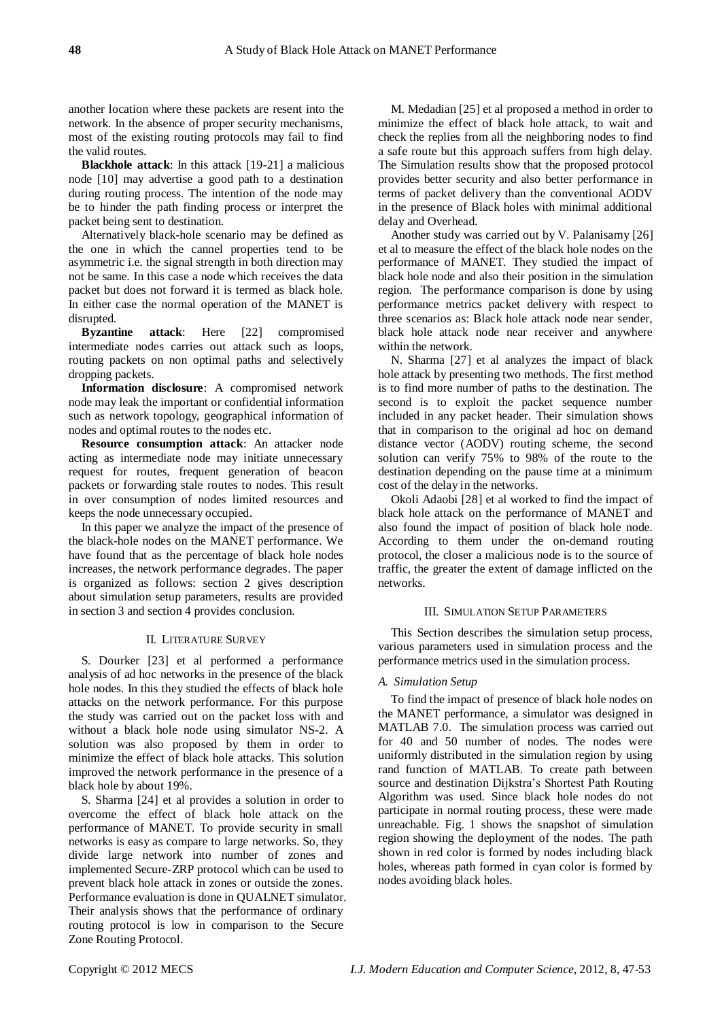another location where these packets are resent into the network. In the absence of proper security mechanisms, most of the existing routing protocols may fail to find the valid routes.

**Blackhole attack**: In this attack [19-21] a malicious node [10] may advertise a good path to a destination during routing process. The intention of the node may be to hinder the path finding process or interpret the packet being sent to destination.

Alternatively black-hole scenario may be defined as the one in which the cannel properties tend to be asymmetric i.e. the signal strength in both direction may not be same. In this case a node which receives the data packet but does not forward it is termed as black hole. In either case the normal operation of the MANET is disrupted.

**Byzantine attack**: Here [22] compromised intermediate nodes carries out attack such as loops, routing packets on non optimal paths and selectively dropping packets.

**Information disclosure**: A compromised network node may leak the important or confidential information such as network topology, geographical information of nodes and optimal routes to the nodes etc.

**Resource consumption attack**: An attacker node acting as intermediate node may initiate unnecessary request for routes, frequent generation of beacon packets or forwarding stale routes to nodes. This result in over consumption of nodes limited resources and keeps the node unnecessary occupied.

In this paper we analyze the impact of the presence of the black-hole nodes on the MANET performance. We have found that as the percentage of black hole nodes increases, the network performance degrades. The paper is organized as follows: section 2 gives description about simulation setup parameters, results are provided in section 3 and section 4 provides conclusion.

# II. LITERATURE SURVEY

S. Dourker [23] et al performed a performance analysis of ad hoc networks in the presence of the black hole nodes. In this they studied the effects of black hole attacks on the network performance. For this purpose the study was carried out on the packet loss with and without a black hole node using simulator NS-2. A solution was also proposed by them in order to minimize the effect of black hole attacks. This solution improved the network performance in the presence of a black hole by about 19%.

S. Sharma [24] et al provides a solution in order to overcome the effect of black hole attack on the performance of MANET. To provide security in small networks is easy as compare to large networks. So, they divide large network into number of zones and implemented Secure-ZRP protocol which can be used to prevent black hole attack in zones or outside the zones. Performance evaluation is done in QUALNET simulator. Their analysis shows that the performance of ordinary routing protocol is low in comparison to the Secure Zone Routing Protocol.

M. Medadian [25] et al proposed a method in order to minimize the effect of black hole attack, to wait and check the replies from all the neighboring nodes to find a safe route but this approach suffers from high delay. The Simulation results show that the proposed protocol provides better security and also better performance in terms of packet delivery than the conventional AODV in the presence of Black holes with minimal additional delay and Overhead.

Another study was carried out by V. Palanisamy [26] et al to measure the effect of the black hole nodes on the performance of MANET. They studied the impact of black hole node and also their position in the simulation region. The performance comparison is done by using performance metrics packet delivery with respect to three scenarios as: Black hole attack node near sender, black hole attack node near receiver and anywhere within the network.

N. Sharma [27] et al analyzes the impact of black hole attack by presenting two methods. The first method is to find more number of paths to the destination. The second is to exploit the packet sequence number included in any packet header. Their simulation shows that in comparison to the original ad hoc on demand distance vector (AODV) routing scheme, the second solution can verify 75% to 98% of the route to the destination depending on the pause time at a minimum cost of the delay in the networks.

Okoli Adaobi [28] et al worked to find the impact of black hole attack on the performance of MANET and also found the impact of position of black hole node. According to them under the on-demand routing protocol, the closer a malicious node is to the source of traffic, the greater the extent of damage inflicted on the networks.

## III. SIMULATION SETUP PARAMETERS

This Section describes the simulation setup process, various parameters used in simulation process and the performance metrics used in the simulation process.

#### *A. Simulation Setup*

To find the impact of presence of black hole nodes on the MANET performance, a simulator was designed in MATLAB 7.0. The simulation process was carried out for 40 and 50 number of nodes. The nodes were uniformly distributed in the simulation region by using rand function of MATLAB. To create path between source and destination Dijkstra's Shortest Path Routing Algorithm was used. Since black hole nodes do not participate in normal routing process, these were made unreachable. Fig. 1 shows the snapshot of simulation region showing the deployment of the nodes. The path shown in red color is formed by nodes including black holes, whereas path formed in cyan color is formed by nodes avoiding black holes.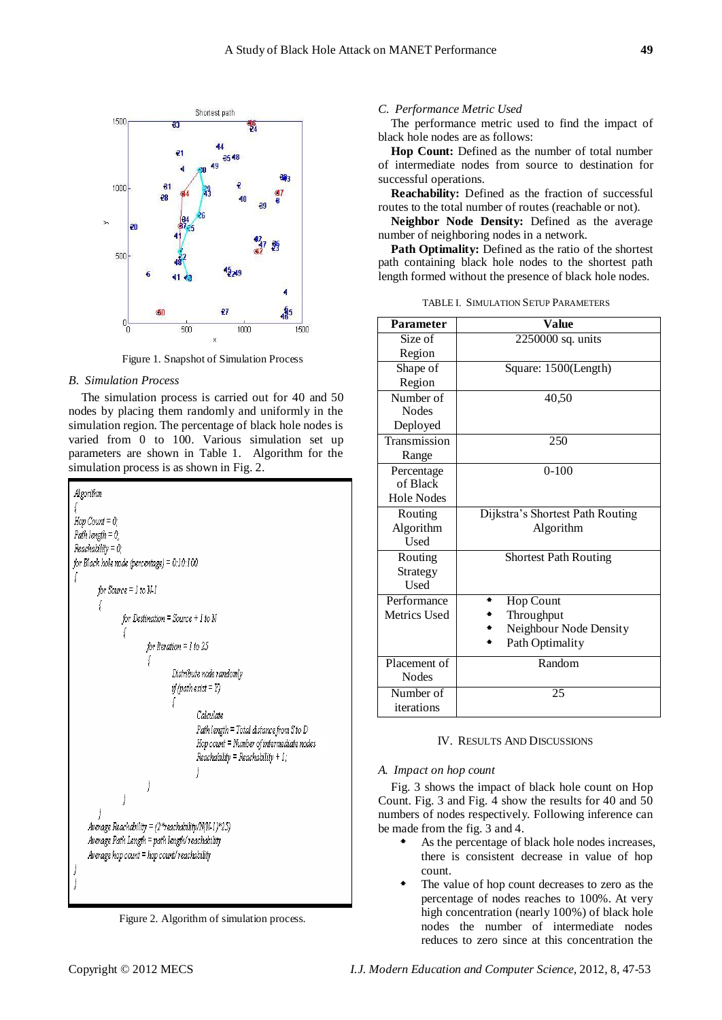

Figure 1. Snapshot of Simulation Process

## *B. Simulation Process*

The simulation process is carried out for 40 and 50 nodes by placing them randomly and uniformly in the simulation region. The percentage of black hole nodes is varied from 0 to 100. Various simulation set up parameters are shown in Table 1. Algorithm for the simulation process is as shown in Fig. 2.



Figure 2. Algorithm of simulation process.

## *C. Performance Metric Used*

The performance metric used to find the impact of black hole nodes are as follows:

**Hop Count:** Defined as the number of total number of intermediate nodes from source to destination for successful operations.

**Reachability:** Defined as the fraction of successful routes to the total number of routes (reachable or not).

**Neighbor Node Density:** Defined as the average number of neighboring nodes in a network.

**Path Optimality:** Defined as the ratio of the shortest path containing black hole nodes to the shortest path length formed without the presence of black hole nodes.

TABLE I. SIMULATION SETUP PARAMETERS

| <b>Parameter</b> | Value                            |
|------------------|----------------------------------|
| Size of          | 2250000 sq. units                |
| Region           |                                  |
| Shape of         | Square: 1500(Length)             |
| Region           |                                  |
| Number of        | 40,50                            |
| <b>Nodes</b>     |                                  |
| Deployed         |                                  |
| Transmission     | 250                              |
| Range            |                                  |
| Percentage       | $0-100$                          |
| of Black         |                                  |
| Hole Nodes       |                                  |
| Routing          | Dijkstra's Shortest Path Routing |
| Algorithm        | Algorithm                        |
| <b>Used</b>      |                                  |
| Routing          | <b>Shortest Path Routing</b>     |
| Strategy         |                                  |
| <b>Used</b>      |                                  |
| Performance      | Hop Count                        |
| Metrics Used     | Throughput                       |
|                  | Neighbour Node Density           |
|                  | Path Optimality                  |
| Placement of     | Random                           |
| <b>Nodes</b>     |                                  |
| Number of        | 25                               |
| iterations       |                                  |

## IV. RESULTS AND DISCUSSIONS

#### *A. Impact on hop count*

Fig. 3 shows the impact of black hole count on Hop Count. Fig. 3 and Fig. 4 show the results for 40 and 50 numbers of nodes respectively. Following inference can be made from the fig. 3 and 4.

- As the percentage of black hole nodes increases, there is consistent decrease in value of hop count.
- The value of hop count decreases to zero as the percentage of nodes reaches to 100%. At very high concentration (nearly 100%) of black hole nodes the number of intermediate nodes reduces to zero since at this concentration the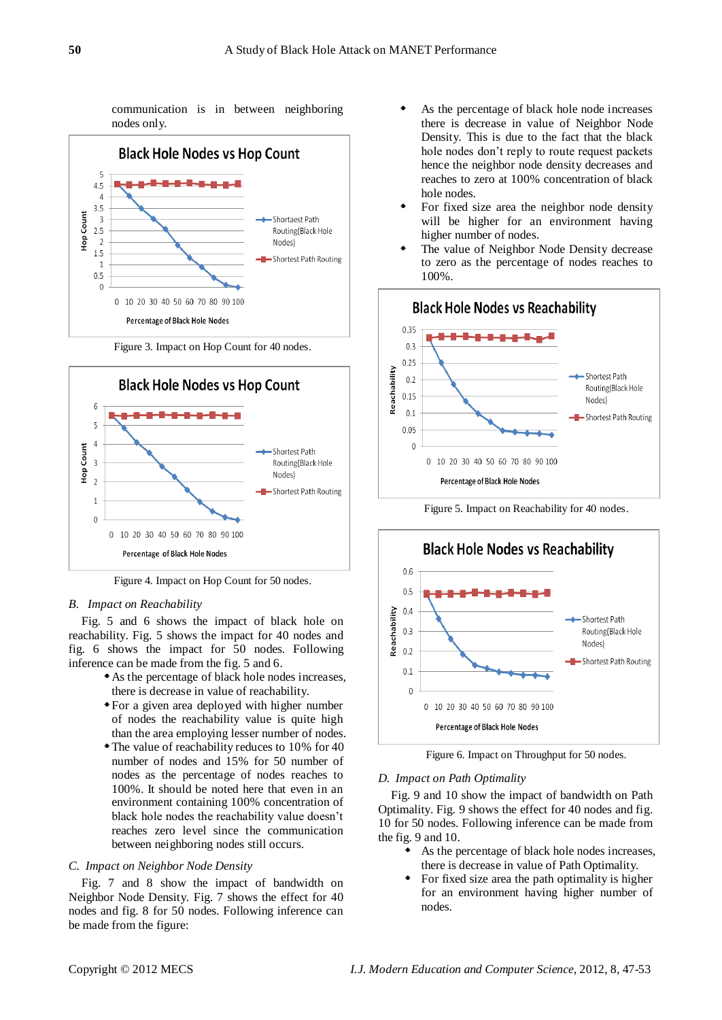communication is in between neighboring nodes only.



Figure 3. Impact on Hop Count for 40 nodes.



Figure 4. Impact on Hop Count for 50 nodes.

#### *B. Impact on Reachability*

Fig. 5 and 6 shows the impact of black hole on reachability. Fig. 5 shows the impact for 40 nodes and fig. 6 shows the impact for 50 nodes. Following inference can be made from the fig. 5 and 6.

- As the percentage of black hole nodes increases, there is decrease in value of reachability.
- For a given area deployed with higher number of nodes the reachability value is quite high than the area employing lesser number of nodes.
- The value of reachability reduces to 10% for 40 number of nodes and 15% for 50 number of nodes as the percentage of nodes reaches to 100%. It should be noted here that even in an environment containing 100% concentration of black hole nodes the reachability value doesn't reaches zero level since the communication between neighboring nodes still occurs.

#### *C. Impact on Neighbor Node Density*

Fig. 7 and 8 show the impact of bandwidth on Neighbor Node Density. Fig. 7 shows the effect for 40 nodes and fig. 8 for 50 nodes. Following inference can be made from the figure:

- As the percentage of black hole node increases there is decrease in value of Neighbor Node Density. This is due to the fact that the black hole nodes don't reply to route request packets hence the neighbor node density decreases and reaches to zero at 100% concentration of black hole nodes.
- For fixed size area the neighbor node density will be higher for an environment having higher number of nodes.
- The value of Neighbor Node Density decrease to zero as the percentage of nodes reaches to 100%.



Figure 5. Impact on Reachability for 40 nodes.



Figure 6. Impact on Throughput for 50 nodes.

## *D. Impact on Path Optimality*

Fig. 9 and 10 show the impact of bandwidth on Path Optimality. Fig. 9 shows the effect for 40 nodes and fig. 10 for 50 nodes. Following inference can be made from the fig. 9 and 10.

- As the percentage of black hole nodes increases, there is decrease in value of Path Optimality.
- For fixed size area the path optimality is higher for an environment having higher number of nodes.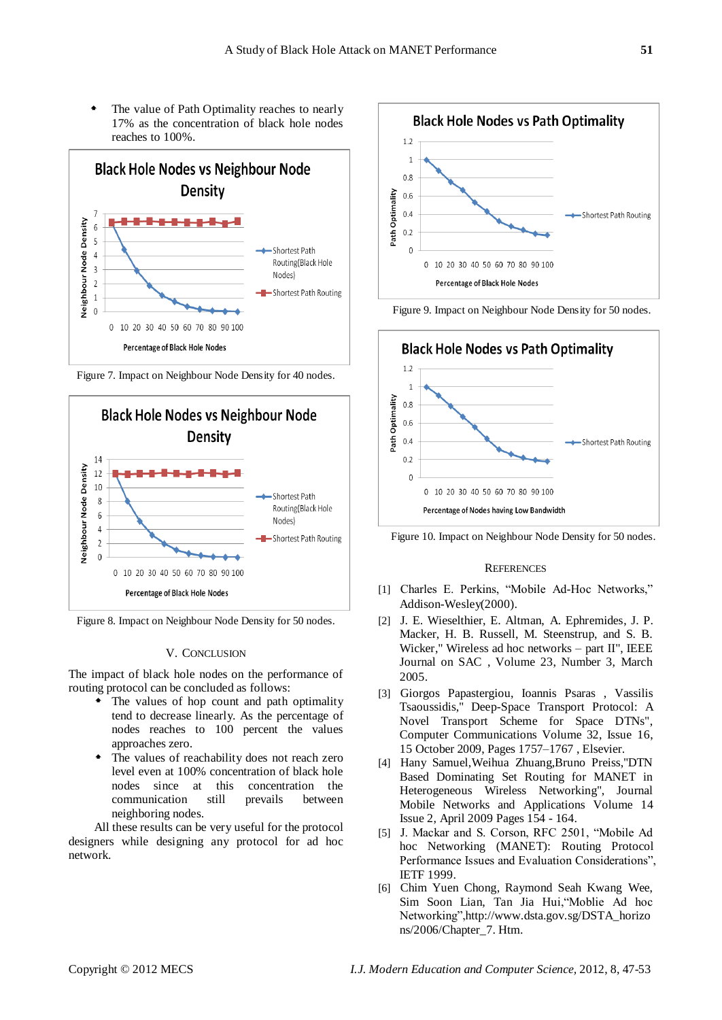The value of Path Optimality reaches to nearly 17% as the concentration of black hole nodes reaches to 100%.



Figure 7. Impact on Neighbour Node Density for 40 nodes.



Figure 8. Impact on Neighbour Node Density for 50 nodes.

# V. CONCLUSION

The impact of black hole nodes on the performance of routing protocol can be concluded as follows:

- The values of hop count and path optimality tend to decrease linearly. As the percentage of nodes reaches to 100 percent the values approaches zero.
- The values of reachability does not reach zero level even at 100% concentration of black hole nodes since at this concentration the communication still prevails between neighboring nodes.

All these results can be very useful for the protocol designers while designing any protocol for ad hoc network.









## **REFERENCES**

- [1] Charles E. Perkins, "Mobile Ad-Hoc Networks," Addison-Wesley(2000).
- [2] J. E. Wieselthier, E. Altman, A. Ephremides, J. P. Macker, H. B. Russell, M. Steenstrup, and S. B. Wicker," Wireless ad hoc networks – part II", IEEE Journal on SAC , Volume 23, Number 3, March 2005.
- [3] Giorgos Papastergiou, Ioannis Psaras , Vassilis Tsaoussidis," Deep-Space Transport Protocol: A Novel Transport Scheme for Space DTNs", Computer Communications Volume 32, Issue 16, 15 October 2009, Pages 1757–1767 , Elsevier.
- [4] Hany Samuel,Weihua Zhuang,Bruno Preiss,"DTN Based Dominating Set Routing for MANET in Heterogeneous Wireless Networking", Journal Mobile Networks and Applications Volume 14 Issue 2, April 2009 Pages 154 - 164.
- [5] J. Mackar and S. Corson, RFC 2501, "Mobile Ad hoc Networking (MANET): Routing Protocol Performance Issues and Evaluation Considerations", IETF 1999.
- [6] Chim Yuen Chong, Raymond Seah Kwang Wee, Sim Soon Lian, Tan Jia Hui, "Moblie Ad hoc Networking",http://www.dsta.gov.sg/DSTA\_horizo ns/2006/Chapter\_7. Htm.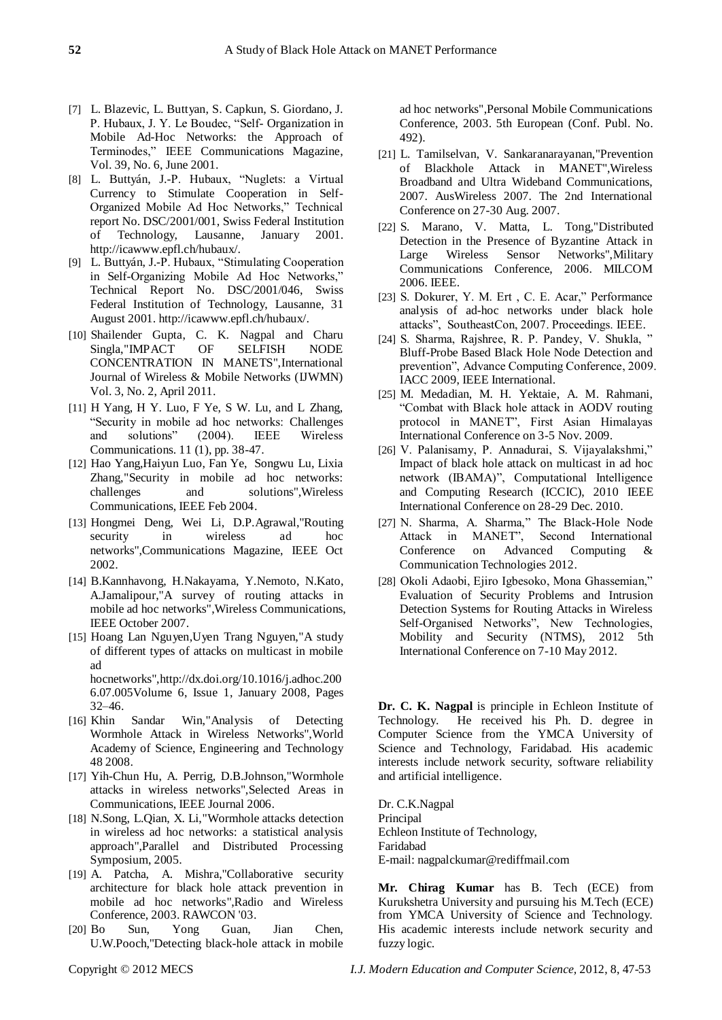- [7] L. Blazevic, L. Buttyan, S. Capkun, S. Giordano, J. P. Hubaux, J. Y. Le Boudec, "Self- Organization in Mobile Ad-Hoc Networks: the Approach of Terminodes," IEEE Communications Magazine, Vol. 39, No. 6, June 2001.
- [8] L. Buttyán, J.-P. Hubaux, "Nuglets: a Virtual Currency to Stimulate Cooperation in Self-Organized Mobile Ad Hoc Networks," Technical report No. DSC/2001/001, Swiss Federal Institution of Technology, Lausanne, January 2001. http://icawww.epfl.ch/hubaux/.
- [9] L. Buttyán, J.-P. Hubaux, "Stimulating Cooperation in Self-Organizing Mobile Ad Hoc Networks," Technical Report No. DSC/2001/046, Swiss Federal Institution of Technology, Lausanne, 31 August 2001. http://icawww.epfl.ch/hubaux/.
- [10] Shailender Gupta, C. K. Nagpal and Charu Singla,"IMPACT OF SELFISH NODE CONCENTRATION IN MANETS",International Journal of Wireless & Mobile Networks (IJWMN) Vol. 3, No. 2, April 2011.
- [11] H Yang, H Y. Luo, F Ye, S W. Lu, and L Zhang, ―Security in mobile ad hoc networks: Challenges and solutions" (2004). IEEE Wireless Communications. 11 (1), pp. 38-47.
- [12] Hao Yang,Haiyun Luo, Fan Ye, Songwu Lu, Lixia Zhang,"Security in mobile ad hoc networks: challenges and solutions",Wireless Communications, IEEE Feb 2004.
- [13] Hongmei Deng, Wei Li, D.P.Agrawal,"Routing security in wireless ad hoc networks",Communications Magazine, IEEE Oct 2002.
- [14] B.Kannhavong, H.Nakayama, Y.Nemoto, N.Kato, A.Jamalipour,"A survey of routing attacks in mobile ad hoc networks",Wireless Communications, IEEE October 2007.
- [15] Hoang Lan Nguyen,Uyen Trang Nguyen,"A study of different types of attacks on multicast in mobile ad hocnetworks",http://dx.doi.org/10.1016/j.adhoc.200 6.07.005Volume 6, Issue 1, January 2008, Pages

32–46.

- [16] Khin Sandar Win,"Analysis of Detecting Wormhole Attack in Wireless Networks",World Academy of Science, Engineering and Technology 48 2008.
- [17] Yih-Chun Hu, A. Perrig, D.B.Johnson,"Wormhole attacks in wireless networks",Selected Areas in Communications, IEEE Journal 2006.
- [18] N.Song, L.Qian, X. Li,"Wormhole attacks detection in wireless ad hoc networks: a statistical analysis approach",Parallel and Distributed Processing Symposium, 2005.
- [19] A. Patcha, A. Mishra,"Collaborative security architecture for black hole attack prevention in mobile ad hoc networks",Radio and Wireless Conference, 2003. RAWCON '03.
- [20] Bo Sun, Yong Guan, Jian Chen, U.W.Pooch,"Detecting black-hole attack in mobile

ad hoc networks",Personal Mobile Communications Conference, 2003. 5th European (Conf. Publ. No. 492).

- [21] L. Tamilselvan, V. Sankaranarayanan,"Prevention of Blackhole Attack in MANET",Wireless Broadband and Ultra Wideband Communications, 2007. AusWireless 2007. The 2nd International Conference on 27-30 Aug. 2007.
- [22] S. Marano, V. Matta, L. Tong,"Distributed Detection in the Presence of Byzantine Attack in Large Wireless Sensor Networks",Military Communications Conference, 2006. MILCOM 2006. IEEE.
- [23] S. Dokurer, Y. M. Ert, C. E. Acar," Performance analysis of ad-hoc networks under black hole attacks", SoutheastCon, 2007. Proceedings. IEEE.
- [24] S. Sharma, Rajshree, R. P. Pandey, V. Shukla, " Bluff-Probe Based Black Hole Node Detection and prevention", Advance Computing Conference, 2009. IACC 2009, IEEE International.
- [25] M. Medadian, M. H. Yektaie, A. M. Rahmani, ―Combat with Black hole attack in AODV routing protocol in MANET", First Asian Himalayas International Conference on 3-5 Nov. 2009.
- [26] V. Palanisamy, P. Annadurai, S. Vijayalakshmi," Impact of black hole attack on multicast in ad hoc network (IBAMA)", Computational Intelligence and Computing Research (ICCIC), 2010 IEEE International Conference on 28-29 Dec. 2010.
- [27] N. Sharma, A. Sharma," The Black-Hole Node Attack in MANET", Second International Conference on Advanced Computing & Communication Technologies 2012.
- [28] Okoli Adaobi, Ejiro Igbesoko, Mona Ghassemian," Evaluation of Security Problems and Intrusion Detection Systems for Routing Attacks in Wireless Self-Organised Networks", New Technologies, Mobility and Security (NTMS), 2012 5th International Conference on 7-10 May 2012.

**Dr. C. K. Nagpal** is principle in Echleon Institute of Technology. He received his Ph. D. degree in Computer Science from the YMCA University of Science and Technology, Faridabad. His academic interests include network security, software reliability and artificial intelligence.

Dr. C.K.Nagpal Principal Echleon Institute of Technology, Faridabad E-mail: nagpalckumar@rediffmail.com

**Mr. Chirag Kumar** has B. Tech (ECE) from Kurukshetra University and pursuing his M.Tech (ECE) from YMCA University of Science and Technology. His academic interests include network security and fuzzy logic.